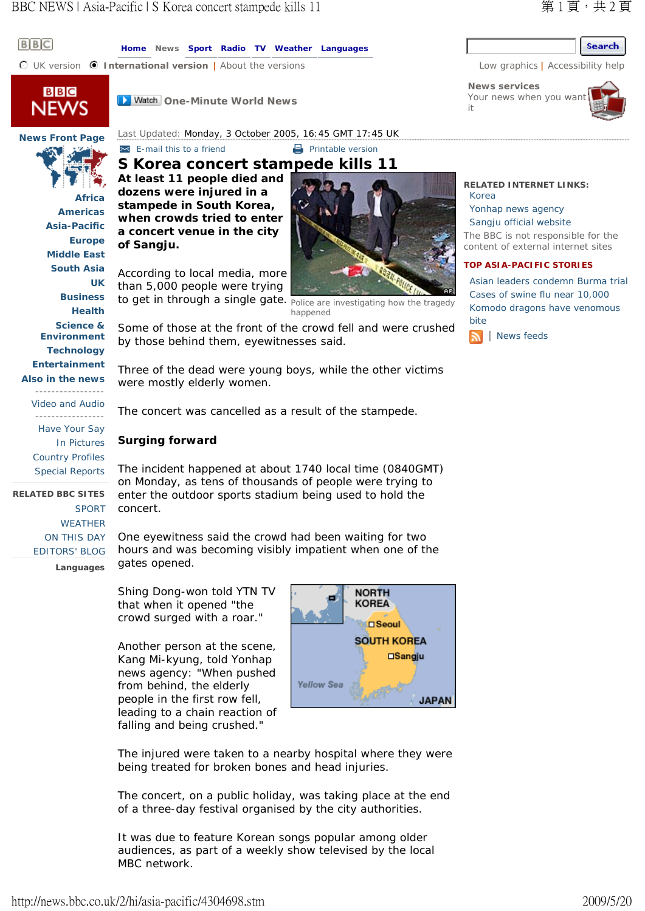## Search

**News services** Your news when you war it

**RELATED INTERNET LINKS:** 

The BBC is not responsible for the content of external internet sites **TOP ASIA-PACIFIC STORIES** 

Asian leaders condemn Burma trial Cases of swine flu near 10,000 Komodo dragons have venomous

Yonhap news agency Sangju official website

| News feeds

Korea

bite



**News Front Page Africa Americas Asia-Pacific Europe Middle East South Asia UK Business**

**Health Science & Environment**

**Technology**

**Entertainment**

**Also in the news**

Video and Audio

----------------- Have Your Say In Pictures Country Profiles Special Reports

**Languages RELATED BBC SITES**  SPORT **WEATHER** ON THIS DAY EDITORS' BLOG **Home News Sport Radio TV Weather Languages**

**n** UK version **1 International version** | About the versions Low graphics | Accessibility help



 $B$  $B$  $C$ 

**D** Watch One-Minute World News

Last Updated: Monday, 3 October 2005, 16:45 GMT 17:45 UK

**E-mail this to a friend** Printable version **S Korea concert stampede kills 11** 

**At least 11 people died and dozens were injured in a stampede in South Korea, when crowds tried to enter a concert venue in the city of Sangju.**

According to local media, more than 5,000 people were trying to get in through a single gate. Police are investigating how the tragedy



happened

Some of those at the front of the crowd fell and were crushed by those behind them, eyewitnesses said.

Three of the dead were young boys, while the other victims were mostly elderly women.

The concert was cancelled as a result of the stampede.

## **Surging forward**

The incident happened at about 1740 local time (0840GMT) on Monday, as tens of thousands of people were trying to enter the outdoor sports stadium being used to hold the concert.

One eyewitness said the crowd had been waiting for two hours and was becoming visibly impatient when one of the gates opened.

Shing Dong-won told YTN TV that when it opened "the crowd surged with a roar."

Another person at the scene, Kang Mi-kyung, told Yonhap news agency: "When pushed from behind, the elderly people in the first row fell, leading to a chain reaction of falling and being crushed."



The injured were taken to a nearby hospital where they were being treated for broken bones and head injuries.

The concert, on a public holiday, was taking place at the end of a three-day festival organised by the city authorities.

It was due to feature Korean songs popular among older audiences, as part of a weekly show televised by the local MBC network.